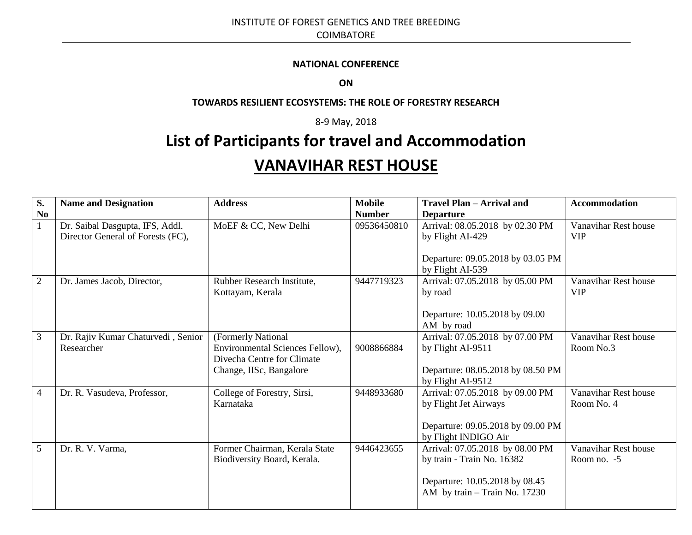**ON**

### **TOWARDS RESILIENT ECOSYSTEMS: THE ROLE OF FORESTRY RESEARCH**

8-9 May, 2018

# **List of Participants for travel and Accommodation**

### **VANAVIHAR REST HOUSE**

| S.             | <b>Name and Designation</b>        | <b>Address</b>                  | <b>Mobile</b> | <b>Travel Plan - Arrival and</b>  | <b>Accommodation</b> |
|----------------|------------------------------------|---------------------------------|---------------|-----------------------------------|----------------------|
| N <sub>0</sub> |                                    |                                 | <b>Number</b> | <b>Departure</b>                  |                      |
|                | Dr. Saibal Dasgupta, IFS, Addl.    | MoEF & CC, New Delhi            | 09536450810   | Arrival: 08.05.2018 by 02.30 PM   | Vanavihar Rest house |
|                | Director General of Forests (FC),  |                                 |               | by Flight AI-429                  | <b>VIP</b>           |
|                |                                    |                                 |               |                                   |                      |
|                |                                    |                                 |               | Departure: 09.05.2018 by 03.05 PM |                      |
|                |                                    |                                 |               | by Flight AI-539                  |                      |
| $\overline{2}$ | Dr. James Jacob, Director,         | Rubber Research Institute,      | 9447719323    | Arrival: 07.05.2018 by 05.00 PM   | Vanavihar Rest house |
|                |                                    | Kottayam, Kerala                |               | by road                           | <b>VIP</b>           |
|                |                                    |                                 |               |                                   |                      |
|                |                                    |                                 |               | Departure: 10.05.2018 by 09.00    |                      |
|                |                                    |                                 |               | AM by road                        |                      |
| 3              | Dr. Rajiv Kumar Chaturvedi, Senior | (Formerly National              |               | Arrival: 07.05.2018 by 07.00 PM   | Vanavihar Rest house |
|                | Researcher                         | Environmental Sciences Fellow), | 9008866884    | by Flight AI-9511                 | Room No.3            |
|                |                                    | Divecha Centre for Climate      |               |                                   |                      |
|                |                                    | Change, IISc, Bangalore         |               | Departure: 08.05.2018 by 08.50 PM |                      |
|                |                                    |                                 |               | by Flight AI-9512                 |                      |
| $\overline{4}$ | Dr. R. Vasudeva, Professor,        | College of Forestry, Sirsi,     | 9448933680    | Arrival: 07.05.2018 by 09.00 PM   | Vanavihar Rest house |
|                |                                    | Karnataka                       |               | by Flight Jet Airways             | Room No. 4           |
|                |                                    |                                 |               |                                   |                      |
|                |                                    |                                 |               | Departure: 09.05.2018 by 09.00 PM |                      |
|                |                                    |                                 |               | by Flight INDIGO Air              |                      |
| 5              | Dr. R. V. Varma,                   | Former Chairman, Kerala State   | 9446423655    | Arrival: 07.05.2018 by 08.00 PM   | Vanavihar Rest house |
|                |                                    | Biodiversity Board, Kerala.     |               | by train - Train No. 16382        | Room no. -5          |
|                |                                    |                                 |               |                                   |                      |
|                |                                    |                                 |               | Departure: 10.05.2018 by 08.45    |                      |
|                |                                    |                                 |               | AM by train - Train No. 17230     |                      |
|                |                                    |                                 |               |                                   |                      |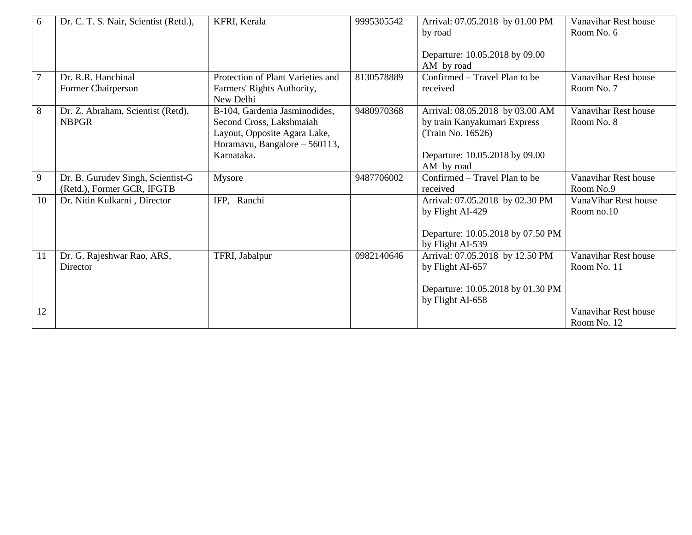| 6  | Dr. C. T. S. Nair, Scientist (Retd.),                           | KFRI, Kerala                                                                                                                             | 9995305542 | Arrival: 07.05.2018 by 01.00 PM<br>by road<br>Departure: 10.05.2018 by 09.00                                                         | Vanavihar Rest house<br>Room No. 6  |
|----|-----------------------------------------------------------------|------------------------------------------------------------------------------------------------------------------------------------------|------------|--------------------------------------------------------------------------------------------------------------------------------------|-------------------------------------|
|    |                                                                 |                                                                                                                                          |            | AM by road                                                                                                                           |                                     |
|    | Dr. R.R. Hanchinal<br>Former Chairperson                        | Protection of Plant Varieties and<br>Farmers' Rights Authority,<br>New Delhi                                                             | 8130578889 | Confirmed – Travel Plan to be<br>received                                                                                            | Vanavihar Rest house<br>Room No. 7  |
| 8  | Dr. Z. Abraham, Scientist (Retd),<br><b>NBPGR</b>               | B-104, Gardenia Jasminodides,<br>Second Cross, Lakshmaiah<br>Layout, Opposite Agara Lake,<br>Horamavu, Bangalore - 560113,<br>Karnataka. | 9480970368 | Arrival: 08.05.2018 by 03.00 AM<br>by train Kanyakumari Express<br>(Train No. 16526)<br>Departure: 10.05.2018 by 09.00<br>AM by road | Vanavihar Rest house<br>Room No. 8  |
| 9  | Dr. B. Gurudev Singh, Scientist-G<br>(Retd.), Former GCR, IFGTB | Mysore                                                                                                                                   | 9487706002 | Confirmed – Travel Plan to be<br>received                                                                                            | Vanavihar Rest house<br>Room No.9   |
| 10 | Dr. Nitin Kulkarni, Director                                    | IFP, Ranchi                                                                                                                              |            | Arrival: 07.05.2018 by 02.30 PM<br>by Flight AI-429<br>Departure: 10.05.2018 by 07.50 PM<br>by Flight AI-539                         | VanaVihar Rest house<br>Room no.10  |
| 11 | Dr. G. Rajeshwar Rao, ARS,<br>Director                          | TFRI, Jabalpur                                                                                                                           | 0982140646 | Arrival: 07.05.2018 by 12.50 PM<br>by Flight AI-657<br>Departure: 10.05.2018 by 01.30 PM<br>by Flight AI-658                         | Vanavihar Rest house<br>Room No. 11 |
| 12 |                                                                 |                                                                                                                                          |            |                                                                                                                                      | Vanavihar Rest house<br>Room No. 12 |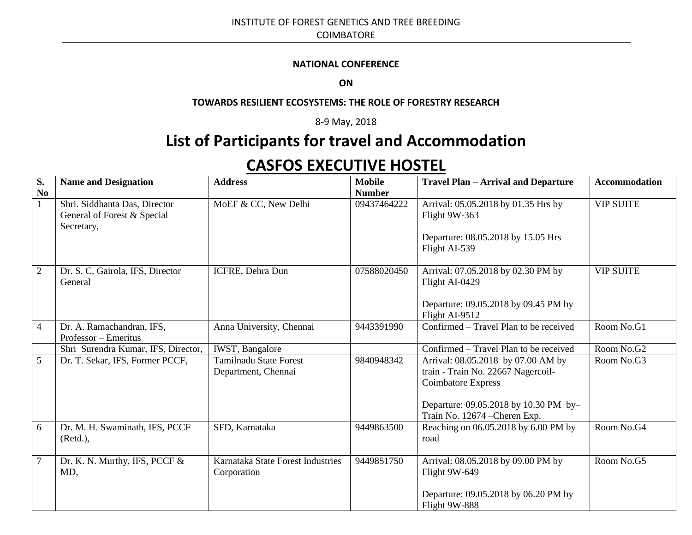**ON**

### **TOWARDS RESILIENT ECOSYSTEMS: THE ROLE OF FORESTRY RESEARCH**

8-9 May, 2018

# **List of Participants for travel and Accommodation**

## **CASFOS EXECUTIVE HOSTEL**

| S.     | <b>Name and Designation</b>                                                | <b>Address</b>                                       | <b>Mobile</b> | <b>Travel Plan - Arrival and Departure</b>                                                                                              | <b>Accommodation</b> |
|--------|----------------------------------------------------------------------------|------------------------------------------------------|---------------|-----------------------------------------------------------------------------------------------------------------------------------------|----------------------|
| No     |                                                                            |                                                      | <b>Number</b> |                                                                                                                                         |                      |
|        | Shri. Siddhanta Das, Director<br>General of Forest & Special<br>Secretary, | MoEF & CC, New Delhi                                 | 09437464222   | Arrival: 05.05.2018 by 01.35 Hrs by<br>Flight 9W-363                                                                                    | <b>VIP SUITE</b>     |
|        |                                                                            |                                                      |               | Departure: 08.05.2018 by 15.05 Hrs<br>Flight AI-539                                                                                     |                      |
| 2      | Dr. S. C. Gairola, IFS, Director<br>General                                | ICFRE, Dehra Dun                                     | 07588020450   | Arrival: 07.05.2018 by 02.30 PM by<br>Flight AI-0429<br>Departure: 09.05.2018 by 09.45 PM by                                            | <b>VIP SUITE</b>     |
|        |                                                                            |                                                      |               | Flight AI-9512                                                                                                                          |                      |
| 4      | Dr. A. Ramachandran, IFS,<br>Professor - Emeritus                          | Anna University, Chennai                             | 9443391990    | Confirmed – Travel Plan to be received                                                                                                  | Room No.G1           |
|        | Shri Surendra Kumar, IFS, Director,                                        | IWST, Bangalore                                      |               | Confirmed – Travel Plan to be received                                                                                                  | Room No.G2           |
| 5      | Dr. T. Sekar, IFS, Former PCCF,                                            | <b>Tamilnadu State Forest</b><br>Department, Chennai | 9840948342    | Arrival: 08.05.2018 by 07.00 AM by<br>train - Train No. 22667 Nagercoil-<br>Coimbatore Express<br>Departure: 09.05.2018 by 10.30 PM by- | Room No.G3           |
|        |                                                                            |                                                      |               | Train No. 12674 - Cheren Exp.                                                                                                           |                      |
| 6      | Dr. M. H. Swaminath, IFS, PCCF<br>(Retd.),                                 | SFD, Karnataka                                       | 9449863500    | Reaching on 06.05.2018 by 6.00 PM by<br>road                                                                                            | Room No.G4           |
| $\tau$ | Dr. K. N. Murthy, IFS, PCCF &<br>MD,                                       | Karnataka State Forest Industries<br>Corporation     | 9449851750    | Arrival: 08.05.2018 by 09.00 PM by<br>Flight 9W-649<br>Departure: 09.05.2018 by 06.20 PM by                                             | Room No.G5           |
|        |                                                                            |                                                      |               | Flight 9W-888                                                                                                                           |                      |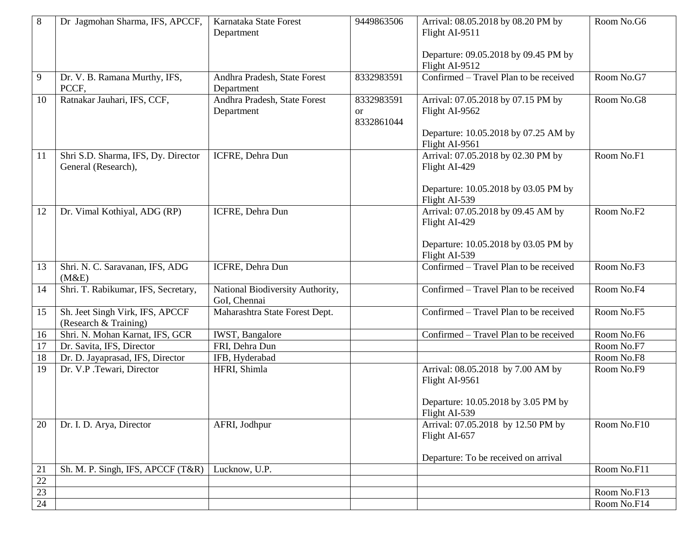| $8\,$ | Dr Jagmohan Sharma, IFS, APCCF,                          | Karnataka State Forest<br>Department             | 9449863506       | Arrival: 08.05.2018 by 08.20 PM by<br>Flight AI-9511 | Room No.G6  |
|-------|----------------------------------------------------------|--------------------------------------------------|------------------|------------------------------------------------------|-------------|
|       |                                                          |                                                  |                  |                                                      |             |
|       |                                                          |                                                  |                  | Departure: 09.05.2018 by 09.45 PM by                 |             |
|       |                                                          |                                                  |                  | Flight AI-9512                                       |             |
| 9     | Dr. V. B. Ramana Murthy, IFS,                            | Andhra Pradesh, State Forest                     | 8332983591       | Confirmed – Travel Plan to be received               | Room No.G7  |
|       | PCCF,<br>Ratnakar Jauhari, IFS, CCF,                     | Department                                       |                  |                                                      | Room No.G8  |
| 10    |                                                          | Andhra Pradesh, State Forest<br>Department       | 8332983591<br>or | Arrival: 07.05.2018 by 07.15 PM by<br>Flight AI-9562 |             |
|       |                                                          |                                                  | 8332861044       |                                                      |             |
|       |                                                          |                                                  |                  | Departure: 10.05.2018 by 07.25 AM by                 |             |
|       |                                                          |                                                  |                  | Flight AI-9561                                       |             |
| 11    | Shri S.D. Sharma, IFS, Dy. Director                      | ICFRE, Dehra Dun                                 |                  | Arrival: 07.05.2018 by 02.30 PM by                   | Room No.F1  |
|       | General (Research),                                      |                                                  |                  | Flight AI-429                                        |             |
|       |                                                          |                                                  |                  | Departure: 10.05.2018 by 03.05 PM by                 |             |
|       |                                                          |                                                  |                  | Flight AI-539                                        |             |
| 12    | Dr. Vimal Kothiyal, ADG (RP)                             | ICFRE, Dehra Dun                                 |                  | Arrival: 07.05.2018 by 09.45 AM by                   | Room No.F2  |
|       |                                                          |                                                  |                  | Flight AI-429                                        |             |
|       |                                                          |                                                  |                  | Departure: 10.05.2018 by 03.05 PM by                 |             |
|       |                                                          |                                                  |                  | Flight AI-539                                        |             |
| 13    | Shri. N. C. Saravanan, IFS, ADG                          | ICFRE, Dehra Dun                                 |                  | Confirmed – Travel Plan to be received               | Room No.F3  |
|       | (M&E)                                                    |                                                  |                  |                                                      |             |
| 14    | Shri. T. Rabikumar, IFS, Secretary,                      | National Biodiversity Authority,<br>GoI, Chennai |                  | Confirmed – Travel Plan to be received               | Room No.F4  |
| 15    | Sh. Jeet Singh Virk, IFS, APCCF<br>(Research & Training) | Maharashtra State Forest Dept.                   |                  | Confirmed – Travel Plan to be received               | Room No.F5  |
| 16    | Shri. N. Mohan Karnat, IFS, GCR                          | <b>IWST</b> , Bangalore                          |                  | Confirmed - Travel Plan to be received               | Room No.F6  |
| 17    | Dr. Savita, IFS, Director                                | FRI, Dehra Dun                                   |                  |                                                      | Room No.F7  |
| 18    | Dr. D. Jayaprasad, IFS, Director                         | IFB, Hyderabad                                   |                  |                                                      | Room No.F8  |
| 19    | Dr. V.P .Tewari, Director                                | HFRI, Shimla                                     |                  | Arrival: 08.05.2018 by 7.00 AM by<br>Flight AI-9561  | Room No.F9  |
|       |                                                          |                                                  |                  | Departure: 10.05.2018 by 3.05 PM by<br>Flight AI-539 |             |
| 20    | Dr. I. D. Arya, Director                                 | AFRI, Jodhpur                                    |                  | Arrival: 07.05.2018 by 12.50 PM by                   | Room No.F10 |
|       |                                                          |                                                  |                  | Flight AI-657                                        |             |
|       |                                                          |                                                  |                  | Departure: To be received on arrival                 |             |
| 21    | Sh. M. P. Singh, IFS, APCCF (T&R)                        | Lucknow, U.P.                                    |                  |                                                      | Room No.F11 |
| 22    |                                                          |                                                  |                  |                                                      |             |
| 23    |                                                          |                                                  |                  |                                                      | Room No.F13 |
| 24    |                                                          |                                                  |                  |                                                      | Room No.F14 |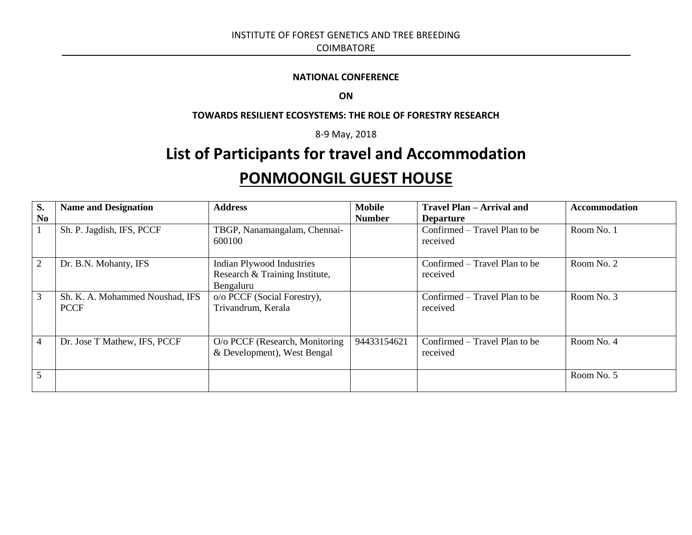**ON**

### **TOWARDS RESILIENT ECOSYSTEMS: THE ROLE OF FORESTRY RESEARCH**

8-9 May, 2018

# **List of Participants for travel and Accommodation**

### **PONMOONGIL GUEST HOUSE**

| S.             | <b>Name and Designation</b>                    | <b>Address</b>                                                                  | <b>Mobile</b> | <b>Travel Plan – Arrival and</b>          | <b>Accommodation</b> |
|----------------|------------------------------------------------|---------------------------------------------------------------------------------|---------------|-------------------------------------------|----------------------|
| N <sub>0</sub> |                                                |                                                                                 | <b>Number</b> | <b>Departure</b>                          |                      |
|                | Sh. P. Jagdish, IFS, PCCF                      | TBGP, Nanamangalam, Chennai-<br>600100                                          |               | Confirmed – Travel Plan to be<br>received | Room No. 1           |
| 2              | Dr. B.N. Mohanty, IFS                          | <b>Indian Plywood Industries</b><br>Research & Training Institute,<br>Bengaluru |               | Confirmed – Travel Plan to be<br>received | Room No. 2           |
| 3              | Sh. K. A. Mohammed Noushad, IFS<br><b>PCCF</b> | o/o PCCF (Social Forestry),<br>Trivandrum, Kerala                               |               | Confirmed – Travel Plan to be<br>received | Room No. 3           |
| $\overline{4}$ | Dr. Jose T Mathew, IFS, PCCF                   | O/o PCCF (Research, Monitoring)<br>& Development), West Bengal                  | 94433154621   | Confirmed – Travel Plan to be<br>received | Room No. 4           |
| 5              |                                                |                                                                                 |               |                                           | Room No. 5           |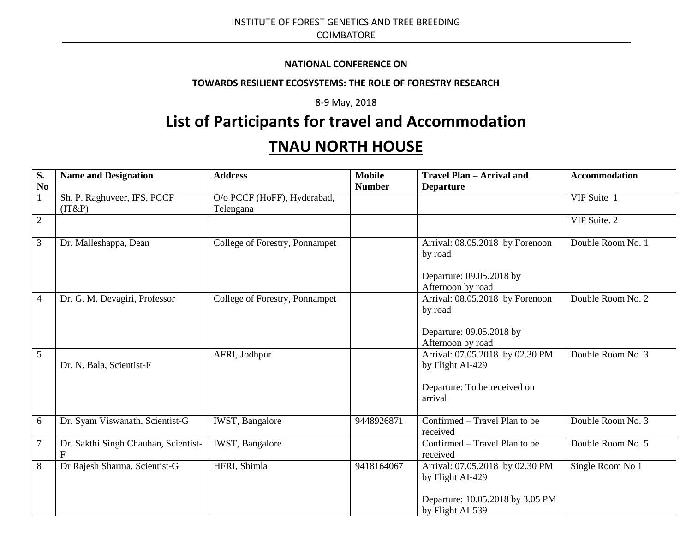### **TOWARDS RESILIENT ECOSYSTEMS: THE ROLE OF FORESTRY RESEARCH**

8-9 May, 2018

# **List of Participants for travel and Accommodation**

## **TNAU NORTH HOUSE**

| $\overline{\mathbf{S}}$ .<br>No | <b>Name and Designation</b>                         | <b>Address</b>                           | <b>Mobile</b><br><b>Number</b> | <b>Travel Plan - Arrival and</b><br><b>Departure</b> | <b>Accommodation</b> |
|---------------------------------|-----------------------------------------------------|------------------------------------------|--------------------------------|------------------------------------------------------|----------------------|
| $\mathbf{1}$                    | Sh. P. Raghuveer, IFS, PCCF<br>$(T\&P)$             | O/o PCCF (HoFF), Hyderabad,<br>Telengana |                                |                                                      | VIP Suite 1          |
| $\overline{2}$                  |                                                     |                                          |                                |                                                      | VIP Suite. 2         |
| $\overline{3}$                  | Dr. Malleshappa, Dean                               | College of Forestry, Ponnampet           |                                | Arrival: 08.05.2018 by Forenoon<br>by road           | Double Room No. 1    |
|                                 |                                                     |                                          |                                | Departure: 09.05.2018 by<br>Afternoon by road        |                      |
| $\overline{4}$                  | Dr. G. M. Devagiri, Professor                       | College of Forestry, Ponnampet           |                                | Arrival: 08.05.2018 by Forenoon<br>by road           | Double Room No. 2    |
|                                 |                                                     |                                          |                                | Departure: 09.05.2018 by<br>Afternoon by road        |                      |
| $\overline{5}$                  | Dr. N. Bala, Scientist-F                            | AFRI, Jodhpur                            |                                | Arrival: 07.05.2018 by 02.30 PM<br>by Flight AI-429  | Double Room No. 3    |
|                                 |                                                     |                                          |                                | Departure: To be received on<br>arrival              |                      |
| 6                               | Dr. Syam Viswanath, Scientist-G                     | IWST, Bangalore                          | 9448926871                     | Confirmed – Travel Plan to be<br>received            | Double Room No. 3    |
| $\overline{7}$                  | Dr. Sakthi Singh Chauhan, Scientist-<br>$\mathbf F$ | <b>IWST</b> , Bangalore                  |                                | Confirmed – Travel Plan to be<br>received            | Double Room No. 5    |
| 8                               | Dr Rajesh Sharma, Scientist-G                       | HFRI, Shimla                             | 9418164067                     | Arrival: 07.05.2018 by 02.30 PM<br>by Flight AI-429  | Single Room No 1     |
|                                 |                                                     |                                          |                                | Departure: 10.05.2018 by 3.05 PM<br>by Flight AI-539 |                      |